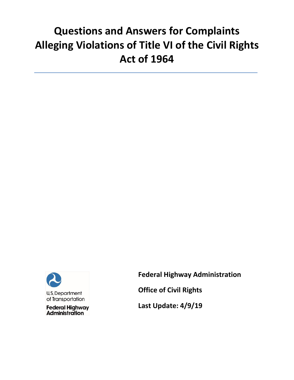# **Questions and Answers for Complaints Alleging Violations of Title VI of the Civil Rights Act of 1964**



**Federal Highway Administration** 

**Office of Civil Rights** 

**Last Update: 4/9/19**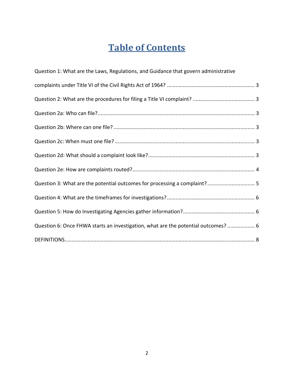## **Table of Contents**

| Question 1: What are the Laws, Regulations, and Guidance that govern administrative |  |
|-------------------------------------------------------------------------------------|--|
|                                                                                     |  |
|                                                                                     |  |
|                                                                                     |  |
|                                                                                     |  |
|                                                                                     |  |
|                                                                                     |  |
|                                                                                     |  |
| Question 3: What are the potential outcomes for processing a complaint? 5           |  |
|                                                                                     |  |
|                                                                                     |  |
| Question 6: Once FHWA starts an investigation, what are the potential outcomes?  6  |  |
|                                                                                     |  |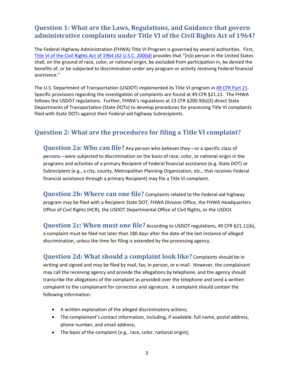#### <span id="page-2-0"></span> **Question 1: What are the Laws, Regulations, and Guidance that govern administrative complaints under Title VI of the Civil Rights Act of 1964?**

The Federal Highway Administration (FHWA) Title VI Program is governed by several authorities. First, Title VI of the Civil Rights Act of 1964 (42 U.S.C. 2000d) provides that "[n]o person in the United States shall, on the ground of race, color, or national origin, be excluded from participation in, be denied the benefits of, or be subjected to discrimination under any program or activity receiving Federal financial assistance."

 filed with State DOTs against their Federal‐aid highway Subrecipients. The U.S. Department of Transportation (USDOT) implemented its Title VI program in 49 CFR Part 21. Specific provisions regarding the investigation of complaints are found at 49 CFR §21.11. The FHWA follows the USDOT regulations. Further, FHWA's regulations at 23 CFR §200.9(b)(3) direct State Departments of Transportation (State DOTs) to develop procedures for processing Title VI complaints

#### **Question 2: What are the procedures for filing a Title VI complaint?**

Question 2a: Who can file? Any person who believes they—or a specific class of persons—were subjected to discrimination on the basis of race, color, or national origin in the programs and activities of a primary Recipient of Federal financial assistance (e.g. State DOT) or Subrecipient (e.g., a city, county, Metropolitan Planning Organization, etc., that receives Federal financial assistance through a primary Recipient) may file a Title VI complaint.

**Question 2b: Where can one file?** Complaints related to the Federal-aid highway Office of Civil Rights (HCR), the USDOT Departmental Office of Civil Rights, or the USDOJ. program may be filed with a Recipient State DOT, FHWA Division Office, the FHWA Headquarters

**Question 2c: When must one file?** According to USDOT regulations, 49 CFR §21.11(b), discrimination, unless the time for filing is extended by the processing agency. a complaint must be filed not later than 180 days after the date of the last instance of alleged

**Question 2d: What should a complaint look like? Complaints should be in**  writing and signed and may be filed by mail, fax, in person, or e‐mail. However, the complainant may call the receiving agency and provide the allegations by telephone, and the agency should transcribe the allegations of the complaint as provided over the telephone and send a written complaint to the complainant for correction and signature. A complaint should contain the following information:

- A written explanation of the alleged discriminatory actions;
- The complainant's contact information, including, if available: full name, postal address, phone number, and email address;
- The basis of the complaint (e.g., race, color, national origin);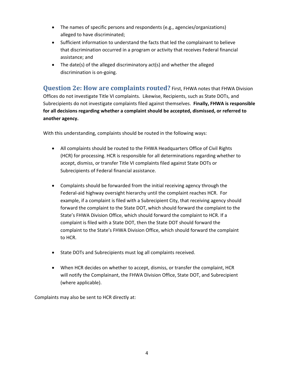- <span id="page-3-0"></span> The names of specific persons and respondents (e.g., agencies/organizations) alleged to have discriminated;
- Sufficient information to understand the facts that led the complainant to believe that discrimination occurred in a program or activity that receives Federal financial assistance; and
- The date(s) of the alleged discriminatory act(s) and whether the alleged discrimination is on‐going.

**Question 2e: How are complaints routed?** First, FHWA notes that FHWA Division Offices do not investigate Title VI complaints. Likewise, Recipients, such as State DOTs, and Subrecipients do not investigate complaints filed against themselves. **Finally, FHWA is responsible for all decisions regarding whether a complaint should be accepted, dismissed, or referred to another agency.** 

With this understanding, complaints should be routed in the following ways:

- All complaints should be routed to the FHWA Headquarters Office of Civil Rights (HCR) for processing. HCR is responsible for all determinations regarding whether to accept, dismiss, or transfer Title VI complaints filed against State DOTs or Subrecipients of Federal financial assistance.
- Complaints should be forwarded from the initial receiving agency through the State's FHWA Division Office, which should forward the complaint to HCR. If a to HCR. Federal-aid highway oversight hierarchy until the complaint reaches HCR. For example, if a complaint is filed with a Subrecipient City, that receiving agency should forward the complaint to the State DOT, which should forward the complaint to the complaint is filed with a State DOT, then the State DOT should forward the complaint to the State's FHWA Division Office, which should forward the complaint
- State DOTs and Subrecipients must log all complaints received.
- (where applicable). When HCR decides on whether to accept, dismiss, or transfer the complaint, HCR will notify the Complainant, the FHWA Division Office, State DOT, and Subrecipient

Complaints may also be sent to HCR directly at: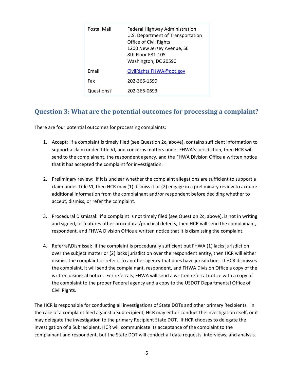| Postal Mail | <b>Federal Highway Administration</b><br>U.S. Department of Transportation<br>Office of Civil Rights<br>1200 New Jersey Avenue, SE<br>8th Floor E81-105<br>Washington, DC 20590 |
|-------------|---------------------------------------------------------------------------------------------------------------------------------------------------------------------------------|
| Email       | CivilRights.FHWA@dot.gov                                                                                                                                                        |
| Fax         | 202-366-1599                                                                                                                                                                    |
| Questions?  | 202-366-0693                                                                                                                                                                    |

#### **Question 3: What are the potential outcomes for processing a complaint?**

There are four potential outcomes for processing complaints:

- that it has accepted the complaint for investigation. 1. Accept: if a complaint is timely filed (see Question 2c, above), contains sufficient information to support a claim under Title VI, and concerns matters under FHWA's jurisdiction, then HCR will send to the complainant, the respondent agency, and the FHWA Division Office a written notice
- 2. Preliminary review: if it is unclear whether the complaint allegations are sufficient to support a claim under Title VI, then HCR may (1) dismiss it or (2) engage in a preliminary review to acquire additional information from the complainant and/or respondent before deciding whether to accept, dismiss, or refer the complaint.
- 3. Procedural Dismissal: if a complaint is not timely filed (see Question 2c, above), is not in writing and signed, or features other procedural/practical defects, then HCR will send the complainant, respondent, and FHWA Division Office a written notice that it is dismissing the complaint.
- dismiss the complaint or refer it to another agency that does have jurisdiction. If HCR dismisses the complaint to the proper Federal agency and a copy to the USDOT Departmental Office of 4. Referral\Dismissal: if the complaint is procedurally sufficient but FHWA (1) lacks jurisdiction over the subject matter or (2) lacks jurisdiction over the respondent entity, then HCR will either the complaint, it will send the complainant, respondent, and FHWA Division Office a copy of the written dismissal notice. For referrals, FHWA will send a written referral notice with a copy of Civil Rights.

The HCR is responsible for conducting all investigations of State DOTs and other primary Recipients. In the case of a complaint filed against a Subrecipient, HCR may either conduct the investigation itself, or it may delegate the investigation to the primary Recipient State DOT. If HCR chooses to delegate the investigation of a Subrecipient, HCR will communicate its acceptance of the complaint to the complainant and respondent, but the State DOT will conduct all data requests, interviews, and analysis.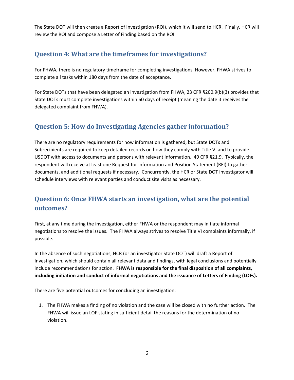<span id="page-5-0"></span>The State DOT will then create a Report of Investigation (ROI), which it will send to HCR. Finally, HCR will review the ROI and compose a Letter of Finding based on the ROI

#### **Question 4: What are the timeframes for investigations?**

 complete all tasks within 180 days from the date of acceptance. For FHWA, there is no regulatory timeframe for completing investigations. However, FHWA strives to

 State DOTs must complete investigations within 60 days of receipt (meaning the date it receives the For State DOTs that have been delegated an investigation from FHWA, 23 CFR §200.9(b)(3) provides that delegated complaint from FHWA).

#### **Question 5: How do Investigating Agencies gather information?**

 There are no regulatory requirements for how information is gathered, but State DOTs and Subrecipients are required to keep detailed records on how they comply with Title VI and to provide USDOT with access to documents and persons with relevant information. 49 CFR §21.9. Typically, the respondent will receive at least one Request for Information and Position Statement (RFI) to gather documents, and additional requests if necessary. Concurrently, the HCR or State DOT investigator will schedule interviews with relevant parties and conduct site visits as necessary.

### **Question 6: Once FHWA starts an investigation, what are the potential outcomes?**

 First, at any time during the investigation, either FHWA or the respondent may initiate informal negotiations to resolve the issues. The FHWA always strives to resolve Title VI complaints informally, if possible.

 include recommendations for action. **FHWA is responsible for the final disposition of all complaints,**  In the absence of such negotiations, HCR (or an investigator State DOT) will draft a Report of Investigation, which should contain all relevant data and findings, with legal conclusions and potentially **including initiation and conduct of informal negotiations and the issuance of Letters of Finding (LOFs).**

There are five potential outcomes for concluding an investigation:

1. The FHWA makes a finding of no violation and the case will be closed with no further action. The FHWA will issue an LOF stating in sufficient detail the reasons for the determination of no violation.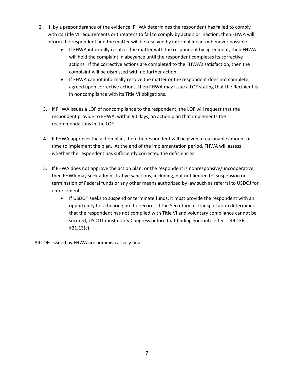- 2. If, by a preponderance of the evidence, FHWA determines the respondent has failed to comply with its Title VI requirements or threatens to fail to comply by action or inaction, then FHWA will inform the respondent and the matter will be resolved by informal means whenever possible.
	- If FHWA informally resolves the matter with the respondent by agreement, then FHWA will hold the complaint in abeyance until the respondent completes its corrective actions. If the corrective actions are completed to the FHWA's satisfaction, then the complaint will be dismissed with no further action.
	- If FHWA cannot informally resolve the matter or the respondent does not complete agreed upon corrective actions, then FHWA may issue a LOF stating that the Recipient is in noncompliance with its Title VI obligations.
	- 3. If FHWA issues a LOF of noncompliance to the respondent, the LOF will request that the respondent provide to FHWA, within 90 days, an action plan that implements the recommendations in the LOF.
	- time to implement the plan. At the end of the implementation period, FHWA will assess 4. If FHWA approves the action plan, then the respondent will be given a reasonable amount of whether the respondent has sufficiently corrected the deficiencies.
	- 5. If FHWA does not approve the action plan, or the respondent is nonresponsive/uncooperative, then FHWA may seek administrative sanctions, including, but not limited to, suspension or termination of Federal funds or any other means authorized by law such as referral to USDOJ for enforcement.
		- opportunity for a hearing on the record. If the Secretary of Transportation determines If USDOT seeks to suspend or terminate funds, it must provide the respondent with an that the respondent has not complied with Title VI and voluntary compliance cannot be secured, USDOT must notify Congress before that finding goes into effect. 49 CFR §21.13(c).

All LOFs issued by FHWA are administratively final.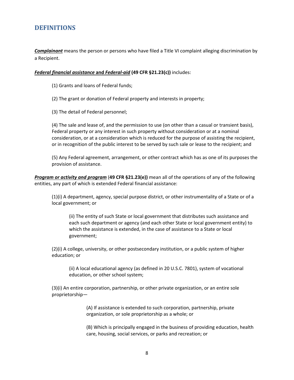#### <span id="page-7-0"></span> **DEFINITIONS**

 a Recipient. *Complainant* means the person or persons who have filed a Title VI complaint alleging discrimination by

#### *Federal financial assistance* **and** *Federal‐aid* **(49 CFR §21.23(c))** includes:

(1) Grants and loans of Federal funds;

(2) The grant or donation of Federal property and interests in property;

(3) The detail of Federal personnel;

 consideration, or at a consideration which is reduced for the purpose of assisting the recipient, (4) The sale and lease of, and the permission to use (on other than a casual or transient basis), Federal property or any interest in such property without consideration or at a nominal or in recognition of the public interest to be served by such sale or lease to the recipient; and

(5) Any Federal agreement, arrangement, or other contract which has as one of its purposes the provision of assistance.

*Program or activity and program* (**49 CFR §21.23(e))** mean all of the operations of any of the following entities, any part of which is extended Federal financial assistance:

(1)(i) A department, agency, special purpose district, or other instrumentality of a State or of a local government; or

 (ii) The entity of such State or local government that distributes such assistance and each such department or agency (and each other State or local government entity) to which the assistance is extended, in the case of assistance to a State or local government;

(2)(i) A college, university, or other postsecondary institution, or a public system of higher education; or

(ii) A local educational agency (as defined in 20 U.S.C. 7801), system of vocational education, or other school system;

(3)(i) An entire corporation, partnership, or other private organization, or an entire sole proprietorship—

> (A) If assistance is extended to such corporation, partnership, private organization, or sole proprietorship as a whole; or

(B) Which is principally engaged in the business of providing education, health care, housing, social services, or parks and recreation; or